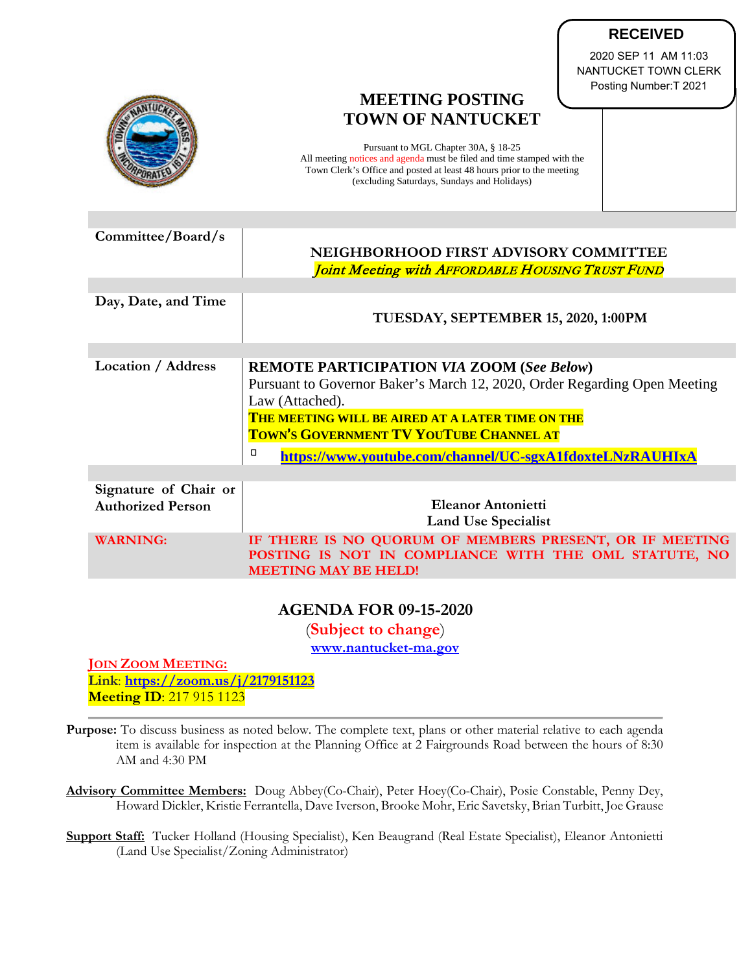|                                                   | NANTUCKET TOWN CLERK<br>Posting Number: T 2021<br><b>MEETING POSTING</b><br><b>TOWN OF NANTUCKET</b><br>Pursuant to MGL Chapter 30A, § 18-25<br>All meeting notices and agenda must be filed and time stamped with the<br>Town Clerk's Office and posted at least 48 hours prior to the meeting<br>(excluding Saturdays, Sundays and Holidays) |
|---------------------------------------------------|------------------------------------------------------------------------------------------------------------------------------------------------------------------------------------------------------------------------------------------------------------------------------------------------------------------------------------------------|
| Committee/Board/s                                 |                                                                                                                                                                                                                                                                                                                                                |
|                                                   | NEIGHBORHOOD FIRST ADVISORY COMMITTEE<br>Joint Meeting with AFFORDABLE HOUSING TRUST FUND                                                                                                                                                                                                                                                      |
|                                                   |                                                                                                                                                                                                                                                                                                                                                |
| Day, Date, and Time                               | TUESDAY, SEPTEMBER 15, 2020, 1:00PM                                                                                                                                                                                                                                                                                                            |
|                                                   |                                                                                                                                                                                                                                                                                                                                                |
| <b>Location / Address</b>                         | <b>REMOTE PARTICIPATION VIA ZOOM (See Below)</b><br>Pursuant to Governor Baker's March 12, 2020, Order Regarding Open Meeting<br>Law (Attached).                                                                                                                                                                                               |
|                                                   | THE MEETING WILL BE AIRED AT A LATER TIME ON THE<br>TOWN'S GOVERNMENT TV YOUTUBE CHANNEL AT                                                                                                                                                                                                                                                    |
|                                                   | α<br>https://www.youtube.com/channel/UC-sgxA1fdoxteLNzRAUHIxA                                                                                                                                                                                                                                                                                  |
|                                                   |                                                                                                                                                                                                                                                                                                                                                |
| Signature of Chair or<br><b>Authorized Person</b> | <b>Eleanor Antonietti</b><br><b>Land Use Specialist</b>                                                                                                                                                                                                                                                                                        |
| <b>WARNING:</b>                                   | IF THERE IS NO QUORUM OF MEMBERS PRESENT, OR IF MEETING<br>POSTING IS NOT IN COMPLIANCE WITH THE OML STATUTE, NO<br><b>MEETING MAY BE HELD!</b>                                                                                                                                                                                                |
|                                                   |                                                                                                                                                                                                                                                                                                                                                |

**RECEIVED** 2020 SEP 11 AM 11:03

## **AGENDA FOR 09-15-2020**

(**Subject to change**)

**[www.nantucket-ma.gov](http://www.nantucket-ma.gov/)**

**JOIN ZOOM MEETING: Link**: **<https://zoom.us/j/2179151123> Meeting ID**: 217 915 1123

- **Purpose:** To discuss business as noted below. The complete text, plans or other material relative to each agenda item is available for inspection at the Planning Office at 2 Fairgrounds Road between the hours of 8:30 AM and 4:30 PM
- **Advisory Committee Members:** Doug Abbey(Co-Chair), Peter Hoey(Co-Chair), Posie Constable, Penny Dey, Howard Dickler, Kristie Ferrantella, Dave Iverson, Brooke Mohr, Eric Savetsky, Brian Turbitt, Joe Grause
- **Support Staff:** Tucker Holland (Housing Specialist), Ken Beaugrand (Real Estate Specialist), Eleanor Antonietti (Land Use Specialist/Zoning Administrator)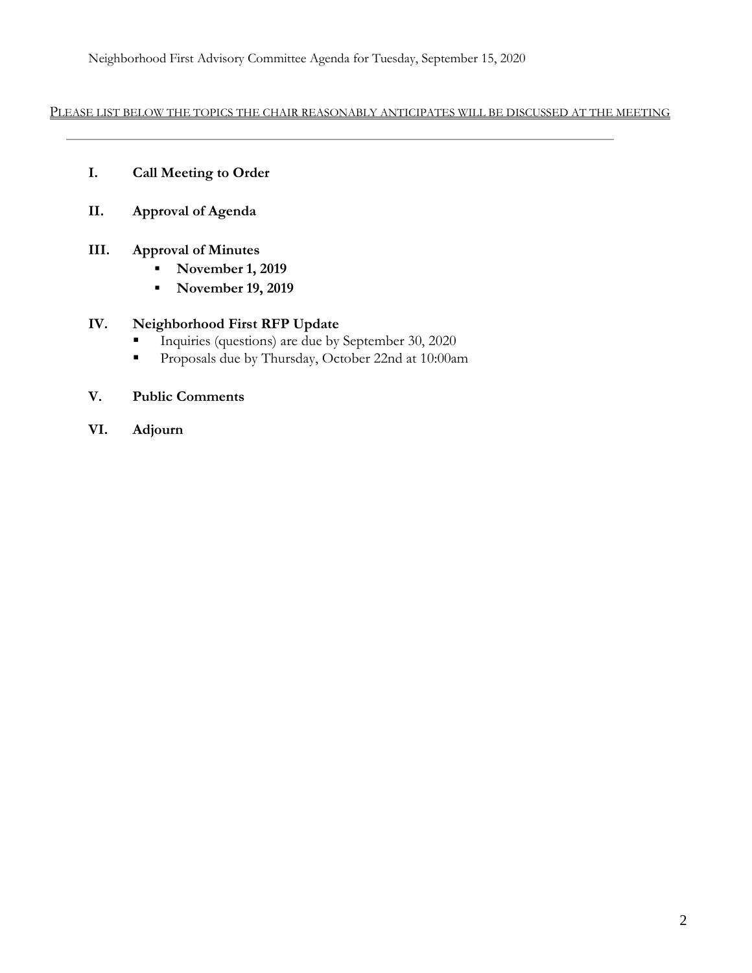Neighborhood First Advisory Committee Agenda for Tuesday, September 15, 2020

PLEASE LIST BELOW THE TOPICS THE CHAIR REASONABLY ANTICIPATES WILL BE DISCUSSED AT THE MEETING

- **I. Call Meeting to Order**
- **II. Approval of Agenda**
- **III. Approval of Minutes**
	- **November 1, 2019**
	- **November 19, 2019**

## **IV. Neighborhood First RFP Update**

- Inquiries (questions) are due by September 30, 2020
- Proposals due by Thursday, October 22nd at 10:00am
- **V. Public Comments**
- **VI. Adjourn**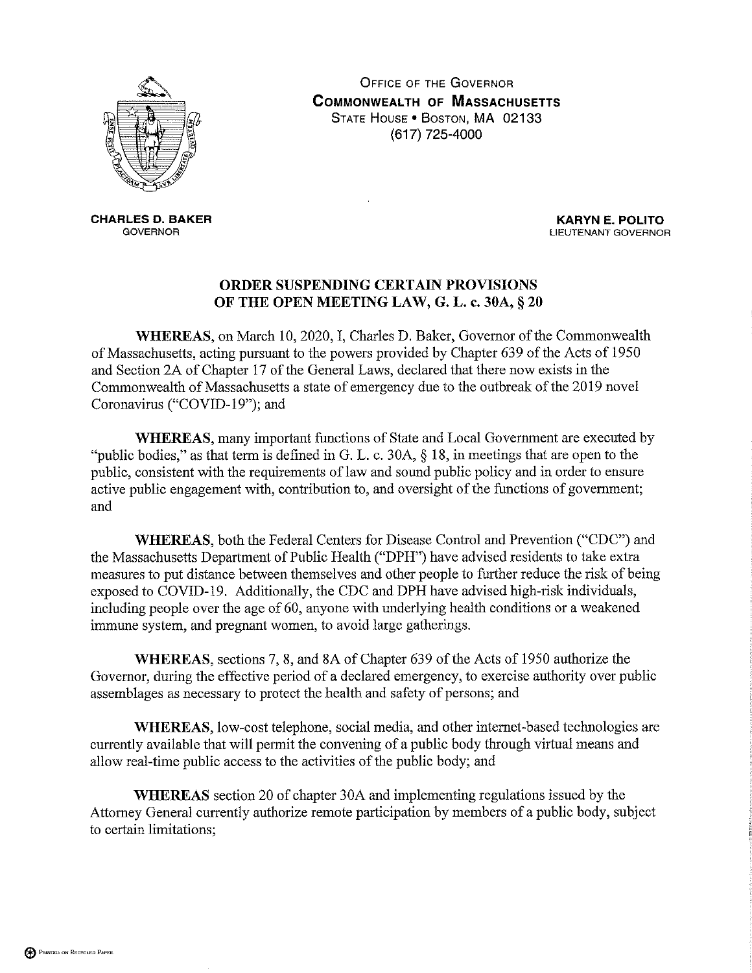

**OFFICE OF THE GOVERNOR COMMONWEALTH OF MASSACHUSETTS** STATE HOUSE . BOSTON, MA 02133 (617) 725-4000

**CHARLES D. BAKER GOVERNOR** 

**KARYN E. POLITO** LIEUTENANT GOVERNOR

## ORDER SUSPENDING CERTAIN PROVISIONS OF THE OPEN MEETING LAW, G. L. c. 30A, § 20

WHEREAS, on March 10, 2020, I, Charles D. Baker, Governor of the Commonwealth of Massachusetts, acting pursuant to the powers provided by Chapter 639 of the Acts of 1950 and Section 2A of Chapter 17 of the General Laws, declared that there now exists in the Commonwealth of Massachusetts a state of emergency due to the outbreak of the 2019 novel Coronavirus ("COVID-19"); and

**WHEREAS**, many important functions of State and Local Government are executed by "public bodies," as that term is defined in G. L. c. 30A,  $\S$  18, in meetings that are open to the public, consistent with the requirements of law and sound public policy and in order to ensure active public engagement with, contribution to, and oversight of the functions of government; and

WHEREAS, both the Federal Centers for Disease Control and Prevention ("CDC") and the Massachusetts Department of Public Health ("DPH") have advised residents to take extra measures to put distance between themselves and other people to further reduce the risk of being exposed to COVID-19. Additionally, the CDC and DPH have advised high-risk individuals, including people over the age of 60, anyone with underlying health conditions or a weakened immune system, and pregnant women, to avoid large gatherings.

WHEREAS, sections 7, 8, and 8A of Chapter 639 of the Acts of 1950 authorize the Governor, during the effective period of a declared emergency, to exercise authority over public assemblages as necessary to protect the health and safety of persons; and

WHEREAS, low-cost telephone, social media, and other internet-based technologies are currently available that will permit the convening of a public body through virtual means and allow real-time public access to the activities of the public body; and

**WHEREAS** section 20 of chapter 30A and implementing regulations issued by the Attorney General currently authorize remote participation by members of a public body, subject to certain limitations;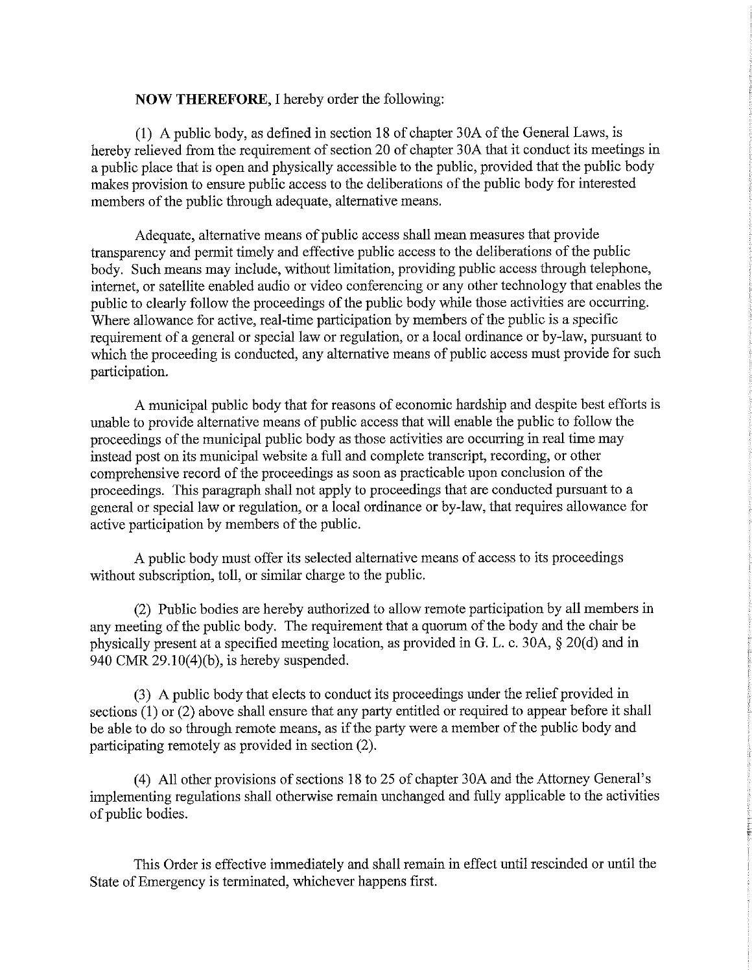## **NOW THEREFORE, I hereby order the following:**

(1) A public body, as defined in section 18 of chapter 30A of the General Laws, is hereby relieved from the requirement of section 20 of chapter 30A that it conduct its meetings in a public place that is open and physically accessible to the public, provided that the public body makes provision to ensure public access to the deliberations of the public body for interested members of the public through adequate, alternative means.

Adequate, alternative means of public access shall mean measures that provide transparency and permit timely and effective public access to the deliberations of the public body. Such means may include, without limitation, providing public access through telephone, internet, or satellite enabled audio or video conferencing or any other technology that enables the public to clearly follow the proceedings of the public body while those activities are occurring. Where allowance for active, real-time participation by members of the public is a specific requirement of a general or special law or regulation, or a local ordinance or by-law, pursuant to which the proceeding is conducted, any alternative means of public access must provide for such participation.

A municipal public body that for reasons of economic hardship and despite best efforts is unable to provide alternative means of public access that will enable the public to follow the proceedings of the municipal public body as those activities are occurring in real time may instead post on its municipal website a full and complete transcript, recording, or other comprehensive record of the proceedings as soon as practicable upon conclusion of the proceedings. This paragraph shall not apply to proceedings that are conducted pursuant to a general or special law or regulation, or a local ordinance or by-law, that requires allowance for active participation by members of the public.

A public body must offer its selected alternative means of access to its proceedings without subscription, toll, or similar charge to the public.

(2) Public bodies are hereby authorized to allow remote participation by all members in any meeting of the public body. The requirement that a quorum of the body and the chair be physically present at a specified meeting location, as provided in G. L. c. 30A, § 20(d) and in 940 CMR  $29.10(4)(b)$ , is hereby suspended.

(3) A public body that elects to conduct its proceedings under the relief provided in sections  $(1)$  or  $(2)$  above shall ensure that any party entitled or required to appear before it shall be able to do so through remote means, as if the party were a member of the public body and participating remotely as provided in section (2).

(4) All other provisions of sections 18 to 25 of chapter 30A and the Attorney General's implementing regulations shall otherwise remain unchanged and fully applicable to the activities of public bodies.

This Order is effective immediately and shall remain in effect until rescinded or until the State of Emergency is terminated, whichever happens first.